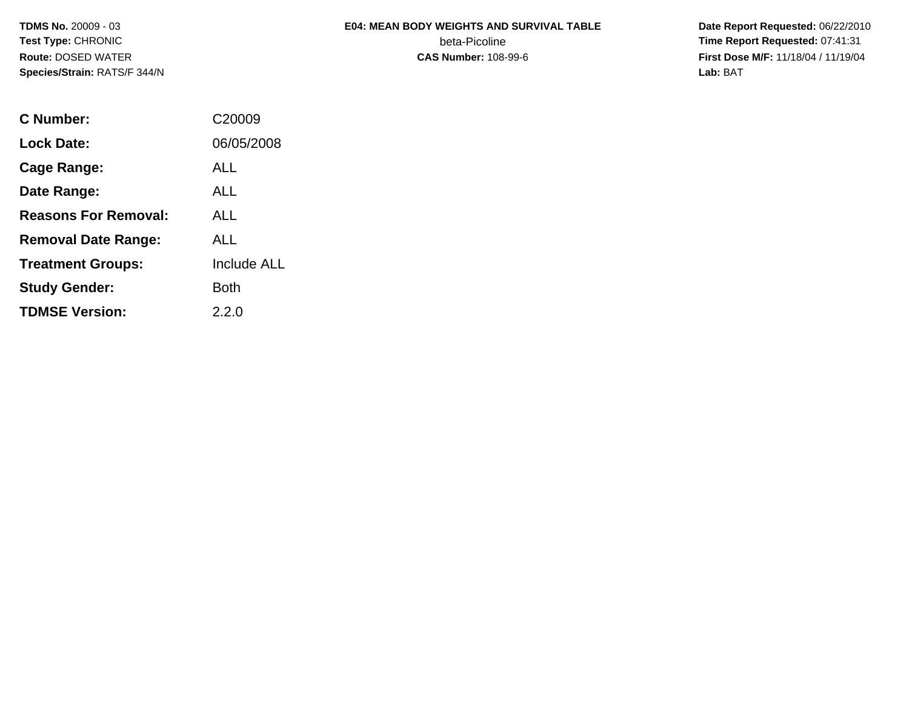# **E04: MEAN BODY WEIGHTS AND SURVIVAL TABLE**beta-Picoline<br>CAS Number: 108-99-6

 **Date Report Requested:** 06/22/2010 **Time Report Requested:** 07:41:31 **First Dose M/F:** 11/18/04 / 11/19/04<br>Lab: BAT **Lab:** BAT

| C Number:                   | C <sub>20009</sub> |
|-----------------------------|--------------------|
| Lock Date:                  | 06/05/2008         |
| Cage Range:                 | ALL                |
| Date Range:                 | AI L               |
| <b>Reasons For Removal:</b> | AI I               |
| <b>Removal Date Range:</b>  | ALL                |
| <b>Treatment Groups:</b>    | <b>Include ALL</b> |
| <b>Study Gender:</b>        | Both               |
| <b>TDMSE Version:</b>       | 2.2.0              |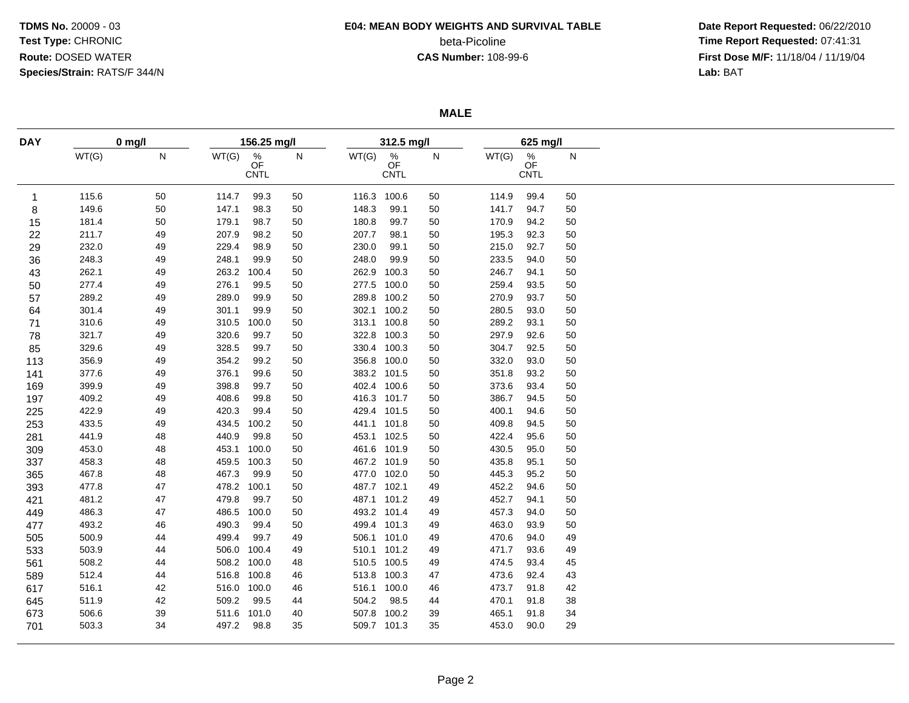## **E04: MEAN BODY WEIGHTS AND SURVIVAL TABLE**

beta-Picoline<br>CAS Number: 108-99-6

 **Date Report Requested:** 06/22/2010 **Time Report Requested:** 07:41:31 **First Dose M/F:** 11/18/04 / 11/19/04<br>**Lab:** BAT **Lab:** BAT

**MALE**

| <b>DAY</b> | $0$ mg/l |           | 156.25 mg/l |                                       |    |       | 312.5 mg/l                            |              |       | 625 mg/l                              |    |  |  |
|------------|----------|-----------|-------------|---------------------------------------|----|-------|---------------------------------------|--------------|-------|---------------------------------------|----|--|--|
|            | WT(G)    | ${\sf N}$ | WT(G)       | $\frac{\%}{\text{OF}}$<br><b>CNTL</b> | N  | WT(G) | $\frac{\%}{\text{OF}}$<br><b>CNTL</b> | $\mathsf{N}$ | WT(G) | $\frac{\%}{\text{OF}}$<br><b>CNTL</b> | N  |  |  |
| 1          | 115.6    | 50        | 114.7       | 99.3                                  | 50 |       | 116.3 100.6                           | 50           | 114.9 | 99.4                                  | 50 |  |  |
| 8          | 149.6    | 50        | 147.1       | 98.3                                  | 50 | 148.3 | 99.1                                  | 50           | 141.7 | 94.7                                  | 50 |  |  |
| 15         | 181.4    | 50        | 179.1       | 98.7                                  | 50 | 180.8 | 99.7                                  | 50           | 170.9 | 94.2                                  | 50 |  |  |
| 22         | 211.7    | 49        | 207.9       | 98.2                                  | 50 | 207.7 | 98.1                                  | 50           | 195.3 | 92.3                                  | 50 |  |  |
| 29         | 232.0    | 49        | 229.4       | 98.9                                  | 50 | 230.0 | 99.1                                  | 50           | 215.0 | 92.7                                  | 50 |  |  |
| 36         | 248.3    | 49        | 248.1       | 99.9                                  | 50 | 248.0 | 99.9                                  | 50           | 233.5 | 94.0                                  | 50 |  |  |
| 43         | 262.1    | 49        | 263.2       | 100.4                                 | 50 | 262.9 | 100.3                                 | 50           | 246.7 | 94.1                                  | 50 |  |  |
| 50         | 277.4    | 49        | 276.1       | 99.5                                  | 50 | 277.5 | 100.0                                 | 50           | 259.4 | 93.5                                  | 50 |  |  |
| 57         | 289.2    | 49        | 289.0       | 99.9                                  | 50 |       | 289.8 100.2                           | 50           | 270.9 | 93.7                                  | 50 |  |  |
| 64         | 301.4    | 49        | 301.1       | 99.9                                  | 50 |       | 302.1 100.2                           | 50           | 280.5 | 93.0                                  | 50 |  |  |
| 71         | 310.6    | 49        | 310.5       | 100.0                                 | 50 |       | 313.1 100.8                           | 50           | 289.2 | 93.1                                  | 50 |  |  |
| 78         | 321.7    | 49        | 320.6       | 99.7                                  | 50 |       | 322.8 100.3                           | 50           | 297.9 | 92.6                                  | 50 |  |  |
| 85         | 329.6    | 49        | 328.5       | 99.7                                  | 50 |       | 330.4 100.3                           | 50           | 304.7 | 92.5                                  | 50 |  |  |
| 113        | 356.9    | 49        | 354.2       | 99.2                                  | 50 |       | 356.8 100.0                           | 50           | 332.0 | 93.0                                  | 50 |  |  |
| 141        | 377.6    | 49        | 376.1       | 99.6                                  | 50 |       | 383.2 101.5                           | 50           | 351.8 | 93.2                                  | 50 |  |  |
| 169        | 399.9    | 49        | 398.8       | 99.7                                  | 50 |       | 402.4 100.6                           | 50           | 373.6 | 93.4                                  | 50 |  |  |
| 197        | 409.2    | 49        | 408.6       | 99.8                                  | 50 |       | 416.3 101.7                           | 50           | 386.7 | 94.5                                  | 50 |  |  |
| 225        | 422.9    | 49        | 420.3       | 99.4                                  | 50 |       | 429.4 101.5                           | 50           | 400.1 | 94.6                                  | 50 |  |  |
| 253        | 433.5    | 49        | 434.5       | 100.2                                 | 50 |       | 441.1 101.8                           | 50           | 409.8 | 94.5                                  | 50 |  |  |
| 281        | 441.9    | 48        | 440.9       | 99.8                                  | 50 |       | 453.1 102.5                           | 50           | 422.4 | 95.6                                  | 50 |  |  |
| 309        | 453.0    | 48        | 453.1       | 100.0                                 | 50 |       | 461.6 101.9                           | 50           | 430.5 | 95.0                                  | 50 |  |  |
| 337        | 458.3    | 48        | 459.5       | 100.3                                 | 50 |       | 467.2 101.9                           | 50           | 435.8 | 95.1                                  | 50 |  |  |
| 365        | 467.8    | 48        | 467.3       | 99.9                                  | 50 | 477.0 | 102.0                                 | 50           | 445.3 | 95.2                                  | 50 |  |  |
| 393        | 477.8    | 47        | 478.2       | 100.1                                 | 50 |       | 487.7 102.1                           | 49           | 452.2 | 94.6                                  | 50 |  |  |
| 421        | 481.2    | 47        | 479.8       | 99.7                                  | 50 |       | 487.1 101.2                           | 49           | 452.7 | 94.1                                  | 50 |  |  |
| 449        | 486.3    | 47        | 486.5       | 100.0                                 | 50 |       | 493.2 101.4                           | 49           | 457.3 | 94.0                                  | 50 |  |  |
| 477        | 493.2    | 46        | 490.3       | 99.4                                  | 50 |       | 499.4 101.3                           | 49           | 463.0 | 93.9                                  | 50 |  |  |
| 505        | 500.9    | 44        | 499.4       | 99.7                                  | 49 |       | 506.1 101.0                           | 49           | 470.6 | 94.0                                  | 49 |  |  |
| 533        | 503.9    | 44        | 506.0       | 100.4                                 | 49 |       | 510.1 101.2                           | 49           | 471.7 | 93.6                                  | 49 |  |  |
| 561        | 508.2    | 44        | 508.2 100.0 |                                       | 48 |       | 510.5 100.5                           | 49           | 474.5 | 93.4                                  | 45 |  |  |
| 589        | 512.4    | 44        | 516.8 100.8 |                                       | 46 |       | 513.8 100.3                           | 47           | 473.6 | 92.4                                  | 43 |  |  |
| 617        | 516.1    | 42        | 516.0 100.0 |                                       | 46 |       | 516.1 100.0                           | 46           | 473.7 | 91.8                                  | 42 |  |  |
| 645        | 511.9    | 42        | 509.2       | 99.5                                  | 44 | 504.2 | 98.5                                  | 44           | 470.1 | 91.8                                  | 38 |  |  |
| 673        | 506.6    | 39        | 511.6       | 101.0                                 | 40 | 507.8 | 100.2                                 | 39           | 465.1 | 91.8                                  | 34 |  |  |
| 701        | 503.3    | 34        | 497.2       | 98.8                                  | 35 |       | 509.7 101.3                           | 35           | 453.0 | 90.0                                  | 29 |  |  |
|            |          |           |             |                                       |    |       |                                       |              |       |                                       |    |  |  |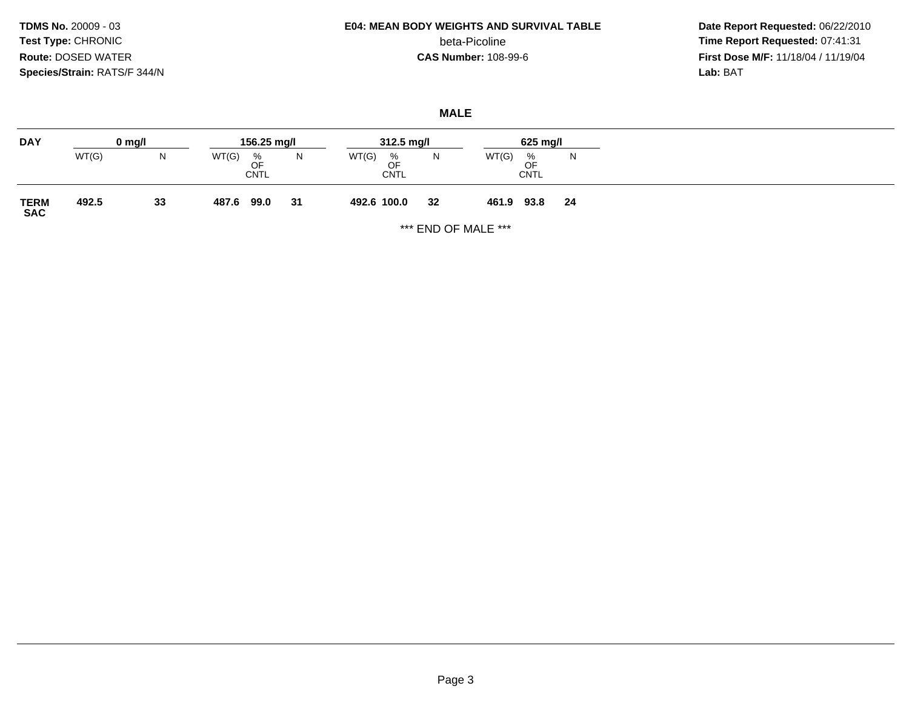## **E04: MEAN BODY WEIGHTS AND SURVIVAL TABLE**

beta-Picoline<br>CAS Number: 108-99-6

 **Date Report Requested:** 06/22/2010 **Time Report Requested:** 07:41:31 **First Dose M/F:** 11/18/04 / 11/19/04<br>**Lab:** BAT **Lab:** BAT

#### **MALE**

| <b>DAY</b>          |       | $0 \text{ mg/l}$ | 156.25 mg/l                     |    | $312.5 \text{ mg/l}$            |    | 625 mg/l                             |    |
|---------------------|-------|------------------|---------------------------------|----|---------------------------------|----|--------------------------------------|----|
|                     | WT(G) | N                | WT(G)<br>%<br>OF<br><b>CNTL</b> | N  | WT(G)<br>%<br>OF<br><b>CNTL</b> | N  | WT(G)<br>%<br>∩F<br>◡<br><b>CNTL</b> | N  |
| <b>TERM<br/>SAC</b> | 492.5 | 33               | 487.6<br>99.0                   | 31 | 492.6 100.0                     | 32 | 93.8<br>461.9                        | 24 |

\*\*\* END OF MALE \*\*\*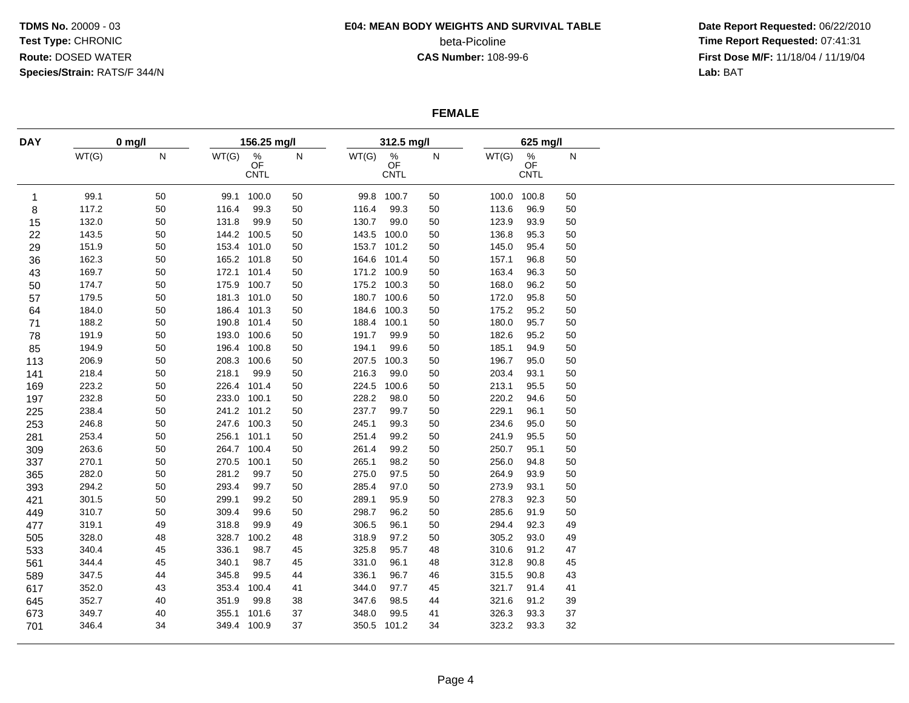#### **E04: MEAN BODY WEIGHTS AND SURVIVAL TABLE**

beta-Picoline<br>CAS Number: 108-99-6

 **Date Report Requested:** 06/22/2010 **Time Report Requested:** 07:41:31 **First Dose M/F:** 11/18/04 / 11/19/04<br>Lab: BAT **Lab:** BAT

#### **FEMALE**

| <b>DAY</b>   | $0$ mg/l |           | 156.25 mg/l |                                       |    |       | 312.5 mg/l                            |        |             | 625 mg/l                                    |    |  |  |
|--------------|----------|-----------|-------------|---------------------------------------|----|-------|---------------------------------------|--------|-------------|---------------------------------------------|----|--|--|
|              | WT(G)    | ${\sf N}$ | WT(G)       | $\frac{\%}{\text{OF}}$<br><b>CNTL</b> | N  | WT(G) | $\frac{\%}{\text{OF}}$<br><b>CNTL</b> | N      | WT(G)       | $\stackrel{\%}{\mathsf{OF}}$<br><b>CNTL</b> | N  |  |  |
| $\mathbf{1}$ | 99.1     | 50        | 99.1        | 100.0                                 | 50 |       | 99.8 100.7                            | 50     | 100.0 100.8 |                                             | 50 |  |  |
| 8            | 117.2    | 50        | 116.4       | 99.3                                  | 50 | 116.4 | 99.3                                  | 50     | 113.6       | 96.9                                        | 50 |  |  |
| 15           | 132.0    | 50        | 131.8       | 99.9                                  | 50 | 130.7 | 99.0                                  | 50     | 123.9       | 93.9                                        | 50 |  |  |
| 22           | 143.5    | 50        | 144.2       | 100.5                                 | 50 |       | 143.5 100.0                           | 50     | 136.8       | 95.3                                        | 50 |  |  |
| 29           | 151.9    | 50        | 153.4 101.0 |                                       | 50 |       | 153.7 101.2                           | $50\,$ | 145.0       | 95.4                                        | 50 |  |  |
| 36           | 162.3    | 50        | 165.2 101.8 |                                       | 50 |       | 164.6 101.4                           | 50     | 157.1       | 96.8                                        | 50 |  |  |
| 43           | 169.7    | 50        | 172.1 101.4 |                                       | 50 |       | 171.2 100.9                           | 50     | 163.4       | 96.3                                        | 50 |  |  |
| 50           | 174.7    | 50        | 175.9 100.7 |                                       | 50 |       | 175.2 100.3                           | 50     | 168.0       | 96.2                                        | 50 |  |  |
| 57           | 179.5    | 50        | 181.3 101.0 |                                       | 50 |       | 180.7 100.6                           | 50     | 172.0       | 95.8                                        | 50 |  |  |
| 64           | 184.0    | 50        | 186.4 101.3 |                                       | 50 |       | 184.6 100.3                           | 50     | 175.2       | 95.2                                        | 50 |  |  |
| 71           | 188.2    | 50        | 190.8       | 101.4                                 | 50 | 188.4 | 100.1                                 | $50\,$ | 180.0       | 95.7                                        | 50 |  |  |
| 78           | 191.9    | 50        | 193.0       | 100.6                                 | 50 | 191.7 | 99.9                                  | 50     | 182.6       | 95.2                                        | 50 |  |  |
| 85           | 194.9    | 50        | 196.4 100.8 |                                       | 50 | 194.1 | 99.6                                  | 50     | 185.1       | 94.9                                        | 50 |  |  |
| 113          | 206.9    | 50        | 208.3 100.6 |                                       | 50 | 207.5 | 100.3                                 | 50     | 196.7       | 95.0                                        | 50 |  |  |
| 141          | 218.4    | 50        | 218.1       | 99.9                                  | 50 | 216.3 | 99.0                                  | 50     | 203.4       | 93.1                                        | 50 |  |  |
| 169          | 223.2    | 50        | 226.4       | 101.4                                 | 50 |       | 224.5 100.6                           | 50     | 213.1       | 95.5                                        | 50 |  |  |
| 197          | 232.8    | 50        | 233.0       | 100.1                                 | 50 | 228.2 | 98.0                                  | 50     | 220.2       | 94.6                                        | 50 |  |  |
| 225          | 238.4    | 50        |             | 241.2 101.2                           | 50 | 237.7 | 99.7                                  | 50     | 229.1       | 96.1                                        | 50 |  |  |
| 253          | 246.8    | 50        | 247.6 100.3 |                                       | 50 | 245.1 | 99.3                                  | 50     | 234.6       | 95.0                                        | 50 |  |  |
| 281          | 253.4    | 50        | 256.1 101.1 |                                       | 50 | 251.4 | 99.2                                  | 50     | 241.9       | 95.5                                        | 50 |  |  |
| 309          | 263.6    | 50        | 264.7 100.4 |                                       | 50 | 261.4 | 99.2                                  | 50     | 250.7       | 95.1                                        | 50 |  |  |
| 337          | 270.1    | 50        | 270.5       | 100.1                                 | 50 | 265.1 | 98.2                                  | 50     | 256.0       | 94.8                                        | 50 |  |  |
| 365          | 282.0    | 50        | 281.2       | 99.7                                  | 50 | 275.0 | 97.5                                  | 50     | 264.9       | 93.9                                        | 50 |  |  |
| 393          | 294.2    | 50        | 293.4       | 99.7                                  | 50 | 285.4 | 97.0                                  | 50     | 273.9       | 93.1                                        | 50 |  |  |
| 421          | 301.5    | 50        | 299.1       | 99.2                                  | 50 | 289.1 | 95.9                                  | 50     | 278.3       | 92.3                                        | 50 |  |  |
| 449          | 310.7    | 50        | 309.4       | 99.6                                  | 50 | 298.7 | 96.2                                  | 50     | 285.6       | 91.9                                        | 50 |  |  |
| 477          | 319.1    | 49        | 318.8       | 99.9                                  | 49 | 306.5 | 96.1                                  | 50     | 294.4       | 92.3                                        | 49 |  |  |
| 505          | 328.0    | 48        | 328.7       | 100.2                                 | 48 | 318.9 | 97.2                                  | 50     | 305.2       | 93.0                                        | 49 |  |  |
| 533          | 340.4    | 45        | 336.1       | 98.7                                  | 45 | 325.8 | 95.7                                  | 48     | 310.6       | 91.2                                        | 47 |  |  |
| 561          | 344.4    | 45        | 340.1       | 98.7                                  | 45 | 331.0 | 96.1                                  | 48     | 312.8       | 90.8                                        | 45 |  |  |
| 589          | 347.5    | 44        | 345.8       | 99.5                                  | 44 | 336.1 | 96.7                                  | 46     | 315.5       | 90.8                                        | 43 |  |  |
| 617          | 352.0    | 43        | 353.4       | 100.4                                 | 41 | 344.0 | 97.7                                  | 45     | 321.7       | 91.4                                        | 41 |  |  |
| 645          | 352.7    | 40        | 351.9       | 99.8                                  | 38 | 347.6 | 98.5                                  | 44     | 321.6       | 91.2                                        | 39 |  |  |
| 673          | 349.7    | 40        | 355.1       | 101.6                                 | 37 | 348.0 | 99.5                                  | 41     | 326.3       | 93.3                                        | 37 |  |  |
| 701          | 346.4    | 34        | 349.4 100.9 |                                       | 37 |       | 350.5 101.2                           | 34     | 323.2       | 93.3                                        | 32 |  |  |
|              |          |           |             |                                       |    |       |                                       |        |             |                                             |    |  |  |